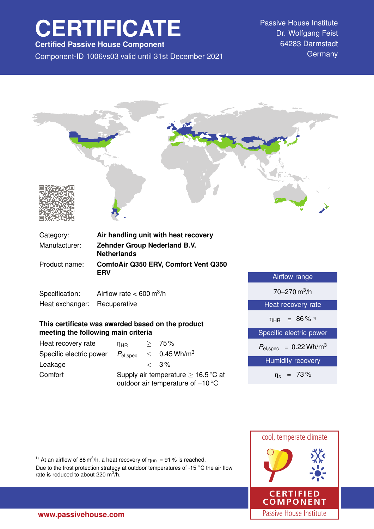# **CERTIFICATE**

**Certified Passive House Component**

Component-ID 1006vs03 valid until 31st December 2021 Germany

Passive House Institute Dr. Wolfgang Feist 64283 Darmstadt



| Specification:  | Airflow rate $< 600 \text{ m}^3/\text{h}$ |
|-----------------|-------------------------------------------|
| Heat exchanger: | Recuperative                              |

## **This certificate was awarded based on the product meeting the following main criteria**

| Heat recovery rate      | ηнв                    | > 75%                                                                                         |
|-------------------------|------------------------|-----------------------------------------------------------------------------------------------|
| Specific electric power | $P_{\mathsf{el,spec}}$ | $< 0.45$ Wh/m <sup>3</sup>                                                                    |
| Leakage                 |                        | $< 3\%$                                                                                       |
| Comfort                 |                        | Supply air temperature $\geq 16.5^{\circ}$ C at<br>outdoor air temperature of $-10^{\circ}$ C |

| Airflow range                              |  |  |
|--------------------------------------------|--|--|
| $70 - 270$ m <sup>3</sup> /h               |  |  |
| Heat recovery rate                         |  |  |
| $\eta_{HR}$ = 86% <sup>1)</sup>            |  |  |
| Specific electric power                    |  |  |
| $P_{\text{el,spec}} = 0.22 \text{ Wh/m}^3$ |  |  |
| <b>Humidity</b> recovery                   |  |  |
| $\eta_x = 73\%$                            |  |  |



<sup>1)</sup> At an airflow of 88 m<sup>3</sup>/h, a heat recovery of  $\eta_{HR} = 91$ % is reached.

Due to the frost protection strategy at outdoor temperatures of -15 ◦C the air flow rate is reduced to about 220 m $3/h$ .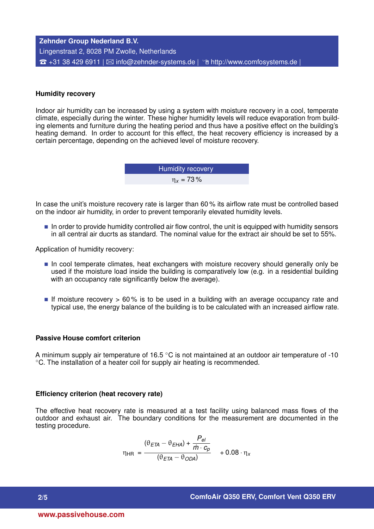## **Zehnder Group Nederland B.V.** Lingenstraat 2, 8028 PM Zwolle, Netherlands  $\hat{B}$  +31 38 429 6911 |  $\boxtimes$  [info@zehnder-systems.de](mailto:info@zehnder-systems.de) |  $\hat{B}$  <http://www.comfosystems.de> |

#### **Humidity recovery**

Indoor air humidity can be increased by using a system with moisture recovery in a cool, temperate climate, especially during the winter. These higher humidity levels will reduce evaporation from building elements and furniture during the heating period and thus have a positive effect on the building's heating demand. In order to account for this effect, the heat recovery efficiency is increased by a certain percentage, depending on the achieved level of moisture recovery.

> Humidity recovery η*<sup>x</sup>* = 73 %

In case the unit's moisture recovery rate is larger than 60% its airflow rate must be controlled based on the indoor air humidity, in order to prevent temporarily elevated humidity levels.

In order to provide humidity controlled air flow control, the unit is equipped with humidity sensors in all central air ducrts as standard. The nominal value for the extract air should be set to 55%.

Application of humidity recovery:

- In cool temperate climates, heat exchangers with moisture recovery should generally only be used if the moisture load inside the building is comparatively low (e.g. in a residential building with an occupancy rate significantly below the average).
- If moisture recovery  $> 60\%$  is to be used in a building with an average occupancy rate and typical use, the energy balance of the building is to be calculated with an increased airflow rate.

#### **Passive House comfort criterion**

A minimum supply air temperature of 16.5  $\degree$ C is not maintained at an outdoor air temperature of -10 ◦C. The installation of a heater coil for supply air heating is recommended.

#### **Efficiency criterion (heat recovery rate)**

The effective heat recovery rate is measured at a test facility using balanced mass flows of the outdoor and exhaust air. The boundary conditions for the measurement are documented in the testing procedure.

$$
\eta_{HR} = \frac{(\theta_{ETA} - \theta_{EHA}) + \frac{P_{el}}{\dot{m} \cdot c_p}}{(\theta_{ETA} - \theta_{ODA})} + 0.08 \cdot \eta_x
$$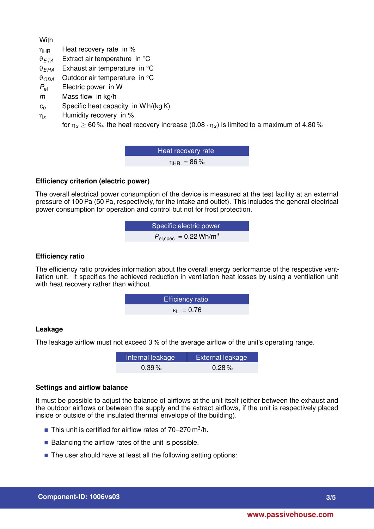**With** 

- $\eta_{HR}$  Heat recovery rate in %
- θ*ETA* Extract air temperature in ◦C
- θ*EHA* Exhaust air temperature in ◦C
- θ*ODA* Outdoor air temperature in ◦C
- *P*el Electric power in W
- *m˙* Mass flow in kg/h
- $c_p$  Specific heat capacity in W h/(kg K)
- η*<sup>x</sup>* Humidity recovery in %

for  $\eta_x \ge 60$ %, the heat recovery increase  $(0.08 \cdot \eta_x)$  is limited to a maximum of 4.80%

Heat recovery rate  $\eta_{HR}$  = 86%

## **Efficiency criterion (electric power)**

The overall electrical power consumption of the device is measured at the test facility at an external pressure of 100 Pa (50 Pa, respectively, for the intake and outlet). This includes the general electrical power consumption for operation and control but not for frost protection.

$$
Specific electric power
$$
  

$$
P_{el,spec} = 0.22 Wh/m^3
$$

## **Efficiency ratio**

The efficiency ratio provides information about the overall energy performance of the respective ventilation unit. It specifies the achieved reduction in ventilation heat losses by using a ventilation unit with heat recovery rather than without.

**EXECUTE:** 
$$
\epsilon_{\text{L}} = 0.76
$$

## **Leakage**

The leakage airflow must not exceed 3 % of the average airflow of the unit's operating range.

| Internal leakage | <b>External leakage</b> |
|------------------|-------------------------|
| $0.39\%$         | $0.28\%$                |

#### **Settings and airflow balance**

It must be possible to adjust the balance of airflows at the unit itself (either between the exhaust and the outdoor airflows or between the supply and the extract airflows, if the unit is respectively placed inside or outside of the insulated thermal envelope of the building).

- This unit is certified for airflow rates of  $70-270$  m<sup>3</sup>/h.
- $\blacksquare$  Balancing the airflow rates of the unit is possible.
- The user should have at least all the following setting options: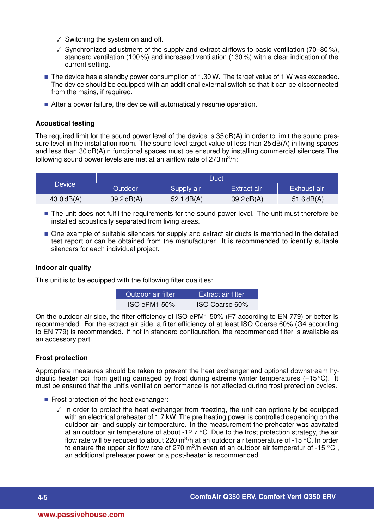- $\checkmark$  Switching the system on and off.
- $\checkmark$  Synchronized adjustment of the supply and extract airflows to basic ventilation (70–80%), standard ventilation (100 %) and increased ventilation (130 %) with a clear indication of the current setting.
- $\blacksquare$  The device has a standby power consumption of 1.30 W. The target value of 1 W was exceeded. The device should be equipped with an additional external switch so that it can be disconnected from the mains, if required.
- After a power failure, the device will automatically resume operation.

## **Acoustical testing**

The required limit for the sound power level of the device is 35 dB(A) in order to limit the sound pressure level in the installation room. The sound level target value of less than 25 dB(A) in living spaces and less than 30 dB(A)in functional spaces must be ensured by installing commercial silencers.The following sound power levels are met at an airflow rate of 273 m $^3$ /h:

|                          | Duct         |              |              |              |
|--------------------------|--------------|--------------|--------------|--------------|
| <b>Device</b><br>Outdoor | Supply air   | Extract air  | Exhaust air  |              |
| $43.0$ dB(A)             | $39.2$ dB(A) | 52.1 $dB(A)$ | $39.2$ dB(A) | $51.6$ dB(A) |

- The unit does not fulfil the requirements for the sound power level. The unit must therefore be installed acoustically separated from living areas.
- One example of suitable silencers for supply and extract air ducts is mentioned in the detailed test report or can be obtained from the manufacturer. It is recommended to identify suitable silencers for each individual project.

#### **Indoor air quality**

This unit is to be equipped with the following filter qualities:

| Outdoor air filter | Extract air filter |
|--------------------|--------------------|
| ISO ePM1 50%       | ISO Coarse 60%     |

On the outdoor air side, the filter efficiency of ISO ePM1 50% (F7 according to EN 779) or better is recommended. For the extract air side, a filter efficiency of at least ISO Coarse 60% (G4 according to EN 779) is recommended. If not in standard configuration, the recommended filter is available as an accessory part.

## **Frost protection**

Appropriate measures should be taken to prevent the heat exchanger and optional downstream hydraulic heater coil from getting damaged by frost during extreme winter temperatures (−15 ◦C). It must be ensured that the unit's ventilation performance is not affected during frost protection cycles.

- Frost protection of the heat exchanger:
	- $\checkmark$  In order to protect the heat exchanger from freezing, the unit can optionally be equipped with an electrical preheater of 1.7 kW. The pre heating power is controlled depending on the outdoor air- and supply air temperature. In the measurement the preheater was acvitated at an outdoor air temperature of about -12.7  $\degree$ C. Due to the frost protection strategy, the air flow rate will be reduced to about 220 m<sup>3</sup>/h at an outdoor air temperature of -15 °C. In order to ensure the upper air flow rate of 270 m<sup>3</sup>/h even at an outdoor air temperatur of -15 °C, an additional preheater power or a post-heater is recommended.